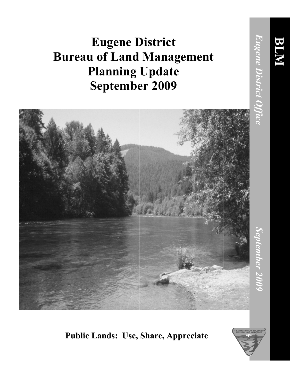## **Eugene District Bureau of Land Management Planning Update September 2009**



## **Public Lands: Use, Share, Appreciate**

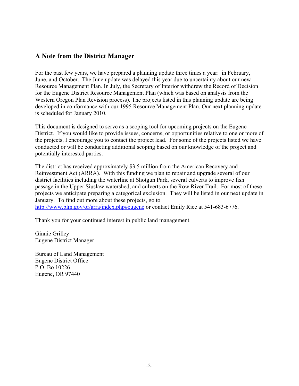## **A Note from the District Manager**

For the past few years, we have prepared a planning update three times a year: in February, June, and October. The June update was delayed this year due to uncertainty about our new Resource Management Plan. In July, the Secretary of Interior withdrew the Record of Decision for the Eugene District Resource Management Plan (which was based on analysis from the Western Oregon Plan Revision process). The projects listed in this planning update are being developed in conformance with our 1995 Resource Management Plan. Our next planning update is scheduled for January 2010.

This document is designed to serve as a scoping tool for upcoming projects on the Eugene District. If you would like to provide issues, concerns, or opportunities relative to one or more of the projects, I encourage you to contact the project lead. For some of the projects listed we have conducted or will be conducting additional scoping based on our knowledge of the project and potentially interested parties.

The district has received approximately \$3.5 million from the American Recovery and Reinvestment Act (ARRA). With this funding we plan to repair and upgrade several of our district facilities including the waterline at Shotgun Park, several culverts to improve fish passage in the Upper Siuslaw watershed, and culverts on the Row River Trail. For most of these projects we anticipate preparing a categorical exclusion. They will be listed in our next update in January. To find out more about these projects, go to http://www.blm.gov/or/arra/index.php#eugene or contact Emily Rice at 541-683-6776.

Thank you for your continued interest in public land management.

Ginnie Grilley Eugene District Manager

Bureau of Land Management Eugene District Office P.O. Bo 10226 Eugene, OR 97440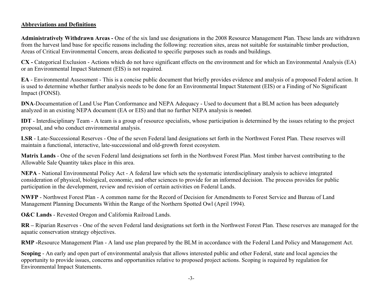## **Abbreviations and Definitions**

**Administratively Withdrawn Areas -** One of the six land use designations in the 2008 Resource Management Plan. These lands are withdrawn from the harvest land base for specific reasons including the following: recreation sites, areas not suitable for sustainable timber production, Areas of Critical Environmental Concern, areas dedicated to specific purposes such as roads and buildings.

**CX -** Categorical Exclusion - Actions which do not have significant effects on the environment and for which an Environmental Analysis (EA) or an Environmental Impact Statement (EIS) is not required.

**EA** - Environmental Assessment - This is a concise public document that briefly provides evidence and analysis of a proposed Federal action. It is used to determine whether further analysis needs to be done for an Environmental Impact Statement (EIS) or a Finding of No Significant Impact (FONSI).

**DNA**-Documentation of Land Use Plan Conformance and NEPA Adequacy - Used to document that a BLM action has been adequately analyzed in an existing NEPA document (EA or EIS) and that no further NEPA analysis is needed.

**IDT** - Interdisciplinary Team - A team is a group of resource specialists, whose participation is determined by the issues relating to the project proposal, and who conduct environmental analysis.

**LSR** - Late-Successional Reserves - One of the seven Federal land designations set forth in the Northwest Forest Plan. These reserves will maintain a functional, interactive, late-successional and old-growth forest ecosystem.

**Matrix Lands** - One of the seven Federal land designations set forth in the Northwest Forest Plan. Most timber harvest contributing to the Allowable Sale Quantity takes place in this area.

**NEPA** - National Environmental Policy Act - A federal law which sets the systematic interdisciplinary analysis to achieve integrated consideration of physical, biological, economic, and other sciences to provide for an informed decision. The process provides for public participation in the development, review and revision of certain activities on Federal Lands.

**NWFP** - Northwest Forest Plan - A common name for the Record of Decision for Amendments to Forest Service and Bureau of Land Management Planning Documents Within the Range of the Northern Spotted Owl (April 1994).

**O&C Lands** - Revested Oregon and California Railroad Lands.

**RR –** Riparian Reserves - One of the seven Federal land designations set forth in the Northwest Forest Plan. These reserves are managed for the aquatic conservation strategy objectives.

**RMP -**Resource Management Plan - A land use plan prepared by the BLM in accordance with the Federal Land Policy and Management Act.

**Scoping** - An early and open part of environmental analysis that allows interested public and other Federal, state and local agencies the opportunity to provide issues, concerns and opportunities relative to proposed project actions. Scoping is required by regulation for Environmental Impact Statements.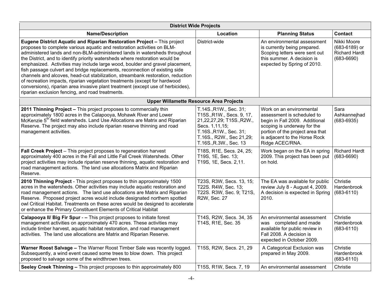| <b>District Wide Projects</b>                                                                                                                                                                                                                                                                                                                                                                                                                                                                                                                                                                                                                                                                                                                                                            |                                                                                                                                                                                   |                                                                                                                                                                                                                 |                                                                        |  |  |  |
|------------------------------------------------------------------------------------------------------------------------------------------------------------------------------------------------------------------------------------------------------------------------------------------------------------------------------------------------------------------------------------------------------------------------------------------------------------------------------------------------------------------------------------------------------------------------------------------------------------------------------------------------------------------------------------------------------------------------------------------------------------------------------------------|-----------------------------------------------------------------------------------------------------------------------------------------------------------------------------------|-----------------------------------------------------------------------------------------------------------------------------------------------------------------------------------------------------------------|------------------------------------------------------------------------|--|--|--|
| <b>Name/Description</b>                                                                                                                                                                                                                                                                                                                                                                                                                                                                                                                                                                                                                                                                                                                                                                  | Location                                                                                                                                                                          | <b>Planning Status</b>                                                                                                                                                                                          | <b>Contact</b>                                                         |  |  |  |
| Eugene District Aquatic and Riparian Restoration Project - This project<br>proposes to complete various aquatic and restoration activities on BLM-<br>administered lands and non-BLM-administered lands in watersheds throughout<br>the District, and to identify priority watersheds where restoration would be<br>emphasized. Activities may include large wood, boulder and gravel placement,<br>fish passage culvert and bridge replacements, reconnection of existing side<br>channels and alcoves, head-cut stabilization, streambank restoration, reduction<br>of recreation impacts, riparian vegetation treatments (except for hardwood<br>conversions), riparian area invasive plant treatment (except use of herbicides),<br>riparian exclusion fencing, and road treatments. | District-wide                                                                                                                                                                     | An environmental assessment<br>is currently being prepared.<br>Scoping letters were sent out<br>this summer. A decision is<br>expected by Spring of 2010.                                                       | Nikki Moore<br>(683-6189) or<br><b>Richard Hardt</b><br>$(683 - 6690)$ |  |  |  |
| <b>Upper Willamette Resource Area Projects</b>                                                                                                                                                                                                                                                                                                                                                                                                                                                                                                                                                                                                                                                                                                                                           |                                                                                                                                                                                   |                                                                                                                                                                                                                 |                                                                        |  |  |  |
| 2011 Thinning Project - This project proposes to commercially thin<br>approximately 1800 acres in the Calapooya, Mohawk River and Lower<br>McKenzie 5 <sup>th</sup> field watersheds. Land Use Allocations are Matrix and Riparian<br>Reserve. The project may also include riparian reserve thinning and road<br>management activities.                                                                                                                                                                                                                                                                                                                                                                                                                                                 | T.14S., R1W., Sec. 31;<br>T15S., R1W., Secs. 9, 17,<br>21,22,27,29; T15S.,R2W.,<br>Secs. 1,11,15;<br>T.16S., R1W., Sec. 31;<br>T.16S., R2W., Sec 21,29;<br>T.16S., R.3W., Sec. 13 | Work on an environmental<br>assessment is scheduled to<br>begin in Fall 2009. Additional<br>scoping is underway for the<br>portion of the project area that<br>is adjacent to the Horse Rock<br>Ridge ACEC/RNA. | Sara<br>Ashkannejhad<br>$(683 - 6935)$                                 |  |  |  |
| Fall Creek Project - This project proposes to regeneration harvest<br>approximately 400 acres in the Fall and Little Fall Creek Watersheds. Other<br>project activities may include riparian reserve thinning, aquatic restoration and<br>road management actions. The land use allocations Matrix and Riparian<br>Reserve.                                                                                                                                                                                                                                                                                                                                                                                                                                                              | T18S, R1E, Secs. 24, 25;<br>T19S, 1E, Sec. 13;<br>T19S, 1E, Secs. 2,11.                                                                                                           | Work began on the EA in spring<br>2009. This project has been put<br>on hold.                                                                                                                                   | <b>Richard Hardt</b><br>$(683 - 6690)$                                 |  |  |  |
| 2010 Thinning Project - This project proposes to thin approximately 1500<br>acres in the watersheds. Other activities may include aquatic restoration and<br>road management actions. The land use allocations are Matrix and Riparian<br>Reserve. Proposed project acres would include designated northern spotted<br>owl Critical Habitat. Treatments on these acres would be designed to accelerate<br>or enhance the Primary Constituent Elements of Critical Habitat                                                                                                                                                                                                                                                                                                                | T23S, R3W, Secs. 13, 15;<br>T22S. R4W, Sec. 13;<br>T22S. R3W, Sec. 9; T21S,<br>R2W, Sec. 27                                                                                       | The EA was available for public<br>review July 8 - August 4, 2009.<br>A decision is expected in Spring<br>2010.                                                                                                 | Christie<br>Hardenbrook<br>$(683 - 6110)$                              |  |  |  |
| Calapooya II/ Big Fir Spur - - This project proposes to initiate forest<br>management activities on approximately 470 acres. These activities may<br>include timber harvest, aquatic habitat restoration, and road management<br>activities. The land use allocations are Matrix and Riparian Reserve.                                                                                                                                                                                                                                                                                                                                                                                                                                                                                   | T14S, R2W, Secs. 34, 35<br>T14S, R1E, Sec. 35                                                                                                                                     | An environmental assessment<br>was completed and made<br>available for public review in<br>Fall 2008. A decision is<br>expected in October 2009.                                                                | Christie<br>Hardenbrook<br>$(683 - 6110)$                              |  |  |  |
| Warner Roost Salvage - The Warner Roost Timber Sale was recently logged.<br>Subsequently, a wind event caused some trees to blow down. This project<br>proposed to salvage some of the windthrown trees.                                                                                                                                                                                                                                                                                                                                                                                                                                                                                                                                                                                 | T15S, R2W, Secs. 21, 29                                                                                                                                                           | A Categorical Exclusion was<br>prepared in May 2009.                                                                                                                                                            | Christie<br>Hardenbrook<br>$(683 - 6110)$                              |  |  |  |
| Seeley Creek Thinning - This project proposes to thin approximately 800                                                                                                                                                                                                                                                                                                                                                                                                                                                                                                                                                                                                                                                                                                                  | T15S, R1W, Secs. 7, 19                                                                                                                                                            | An environmental assessment                                                                                                                                                                                     | Christie                                                               |  |  |  |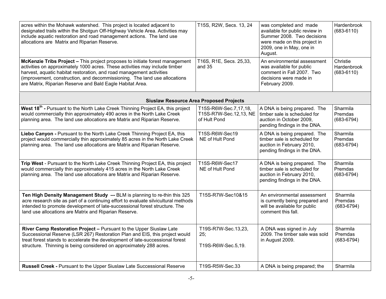| acres within the Mohawk watershed. This project is located adjacent to<br>designated trails within the Shotgun Off-Highway Vehicle Area. Activities may<br>include aquatic restoration and road management actions. The land use<br>allocations are Matrix and Riparian Reserve.                                                                                              | T15S, R2W, Secs. 13, 24                                         | was completed and made<br>available for public review in<br>Summer 2008. Two decisions<br>were made on this project in<br>2009, one in May, one in<br>August. | Hardenbrook<br>$(683 - 6110)$             |  |  |  |
|-------------------------------------------------------------------------------------------------------------------------------------------------------------------------------------------------------------------------------------------------------------------------------------------------------------------------------------------------------------------------------|-----------------------------------------------------------------|---------------------------------------------------------------------------------------------------------------------------------------------------------------|-------------------------------------------|--|--|--|
| McKenzie Tribs Project - This project proposes to initiate forest management<br>activities on approximately 1000 acres. These activities may include timber<br>harvest, aquatic habitat restoration, and road management activities<br>(improvement, construction, and decommissioning. The land use allocations<br>are Matrix, Riparian Reserve and Bald Eagle Habitat Area. | T16S, R1E, Secs. 25,33,<br>and 35                               | An environmental assessment<br>was available for public<br>comment in Fall 2007. Two<br>decisions were made in<br>February 2009.                              | Christie<br>Hardenbrook<br>$(683 - 6110)$ |  |  |  |
| <b>Siuslaw Resource Area Proposed Projects</b>                                                                                                                                                                                                                                                                                                                                |                                                                 |                                                                                                                                                               |                                           |  |  |  |
| West 18 <sup>th</sup> - Pursuant to the North Lake Creek Thinning Project EA, this project<br>would commercially thin approximately 490 acres in the North Lake Creek<br>planning area. The land use allocations are Matrix and Riparian Reserve.                                                                                                                             | T15S-R6W-Sec.7,17,18,<br>T15S-R7W-Sec.12,13, NE<br>of Hult Pond | A DNA is being prepared. The<br>timber sale is scheduled for<br>auction in October 2009,<br>pending findings in the DNA.                                      | Sharmila<br>Premdas<br>$(683 - 6794)$     |  |  |  |
| Liebo Canyon - Pursuant to the North Lake Creek Thinning Project EA, this<br>project would commercially thin approximately 85 acres in the North Lake Creek<br>planning area. The land use allocations are Matrix and Riparian Reserve.                                                                                                                                       | T15S-R6W-Sec19<br>NE of Hult Pond                               | A DNA is being prepared. The<br>timber sale is scheduled for<br>auction in February 2010,<br>pending findings in the DNA.                                     | Sharmila<br>Premdas<br>$(683 - 6794)$     |  |  |  |
| Trip West - Pursuant to the North Lake Creek Thinning Project EA, this project<br>would commercially thin approximately 415 acres in the North Lake Creek<br>planning area. The land use allocations are Matrix and Riparian Reserve.                                                                                                                                         | T15S-R6W-Sec17<br>NE of Hult Pond                               | A DNA is being prepared. The<br>timber sale is scheduled for<br>auction in February 2010,<br>pending findings in the DNA.                                     | Sharmila<br>Premdas<br>$(683 - 6794)$     |  |  |  |
| Ten High Density Management Study -- BLM is planning to re-thin this 325<br>acre research site as part of a continuing effort to evaluate silvicultural methods<br>intended to promote development of late-successional forest structure. The<br>land use allocations are Matrix and Riparian Reserve.                                                                        | T15S-R7W-Sec10&15                                               | An environmental assessment<br>is currently being prepared and<br>will be available for public<br>comment this fall.                                          | Sharmila<br>Premdas<br>$(683 - 6794)$     |  |  |  |
| River Camp Restoration Project - Pursuant to the Upper Siuslaw Late<br>Successional Reserve (LSR 267) Restoration Plan and EIS, this project would<br>treat forest stands to accelerate the development of late-successional forest<br>structure. Thinning is being considered on approximately 288 acres.                                                                    | T19S-R7W-Sec.13,23,<br>25;<br>T19S-R6W-Sec.5,19.                | A DNA was signed in July<br>2009. The timber sale was sold<br>in August 2009.                                                                                 | Sharmila<br>Premdas<br>$(683 - 6794)$     |  |  |  |
| Russell Creek - Pursuant to the Upper Siuslaw Late Successional Reserve                                                                                                                                                                                                                                                                                                       | T19S-R5W-Sec.33                                                 | A DNA is being prepared; the                                                                                                                                  | Sharmila                                  |  |  |  |